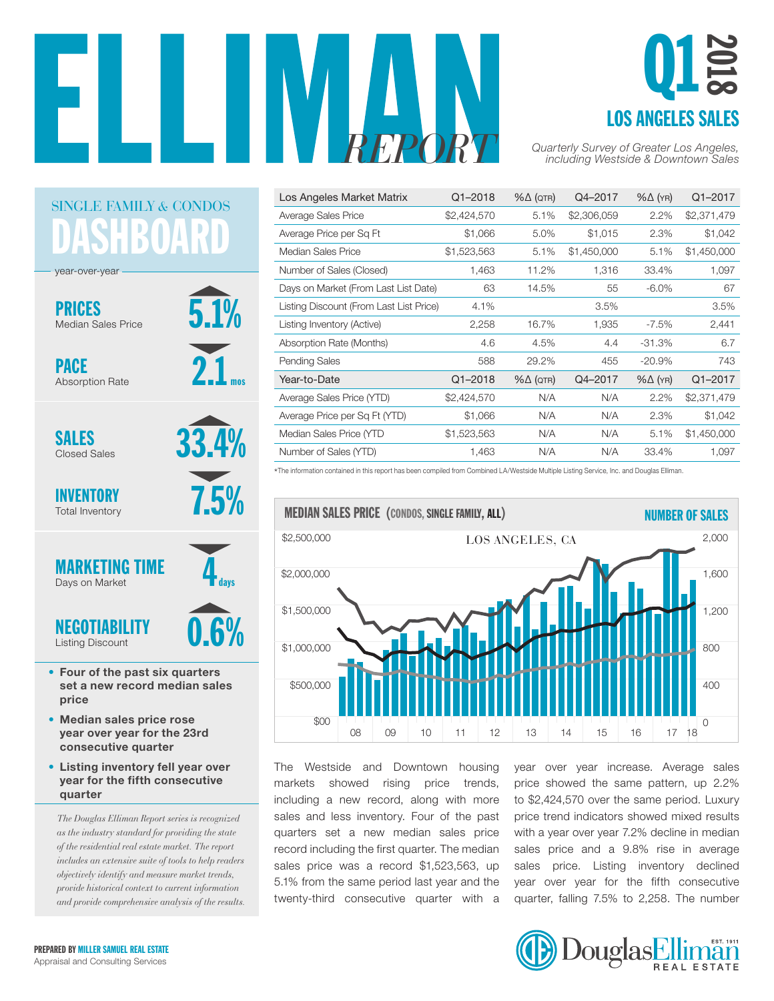



| Los Angeles Market Matrix               | $Q1 - 2018$ | $% \triangle (QTR)$ | Q4-2017     | $% \triangle (YR)$ | Q1-2017     |
|-----------------------------------------|-------------|---------------------|-------------|--------------------|-------------|
| Average Sales Price                     | \$2,424,570 | 5.1%                | \$2,306,059 | 2.2%               | \$2,371,479 |
| Average Price per Sq Ft                 | \$1,066     | 5.0%                | \$1,015     | 2.3%               | \$1,042     |
| Median Sales Price                      | \$1,523,563 | 5.1%                | \$1,450,000 | 5.1%               | \$1,450,000 |
| Number of Sales (Closed)                | 1,463       | 11.2%               | 1,316       | 33.4%              | 1,097       |
| Days on Market (From Last List Date)    | 63          | 14.5%               | 55          | $-6.0\%$           | 67          |
| Listing Discount (From Last List Price) | 4.1%        |                     | 3.5%        |                    | 3.5%        |
| Listing Inventory (Active)              | 2,258       | 16.7%               | 1,935       | $-7.5%$            | 2,441       |
| Absorption Rate (Months)                | 4.6         | 4.5%                | 4.4         | $-31.3%$           | 6.7         |
| <b>Pending Sales</b>                    | 588         | 29.2%               | 455         | $-20.9%$           | 743         |
| Year-to-Date                            | $Q1 - 2018$ | $% \triangle (QTR)$ | Q4-2017     | $% \triangle (YR)$ | Q1-2017     |
| Average Sales Price (YTD)               | \$2,424,570 | N/A                 | N/A         | 2.2%               | \$2,371,479 |
| Average Price per Sq Ft (YTD)           | \$1,066     | N/A                 | N/A         | 2.3%               | \$1,042     |
| Median Sales Price (YTD                 | \$1,523,563 | N/A                 | N/A         | 5.1%               | \$1,450,000 |
| Number of Sales (YTD)                   | 1,463       | N/A                 | N/A         | 33.4%              | 1,097       |

\*The information contained in this report has been compiled from Combined LA/Westside Multiple Listing Service, Inc. and Douglas Elliman.



The Westside and Downtown housing markets showed rising price trends, including a new record, along with more sales and less inventory. Four of the past quarters set a new median sales price record including the first quarter. The median sales price was a record \$1,523,563, up  $5.1\%$  from the same period last year and the twenty-third consecutive quarter with a \$0M

year over year increase. Average sales price showed the same pattern, up 2.2% re to \$2,424,570 over the same period. Luxury price trend indicators showed mixed results with a year over year 7.2% decline in median which you over your news accuration measure. sales price and a signe hos in avoidge<br>sales price. Listing inventory declined year over year for the fifth consecutive quarter, falling 7.5% to 2,258. The number 20



ASHBOAR SINGLE FAMILY *&* CONDOS

5.1%

33.4%

7.5%

days

2.1

mos

PRICES Median Sales Price

year-over-year

PACE Absorption Rate

SALES Closed Sales

INVENTORY Total Inventory



- Four of the past six quarters set a new record median sales price
- Median sales price rose year over year for the 23rd consecutive quarter
- Listing inventory fell year over year for the fifth consecutive quarter

*The Douglas Elliman Report series is recognized as the industry standard for providing the state of the residential real estate market. The report includes an extensive suite of tools to help readers objectively identify and measure market trends, provide historical context to current information and provide comprehensive analysis of the results.*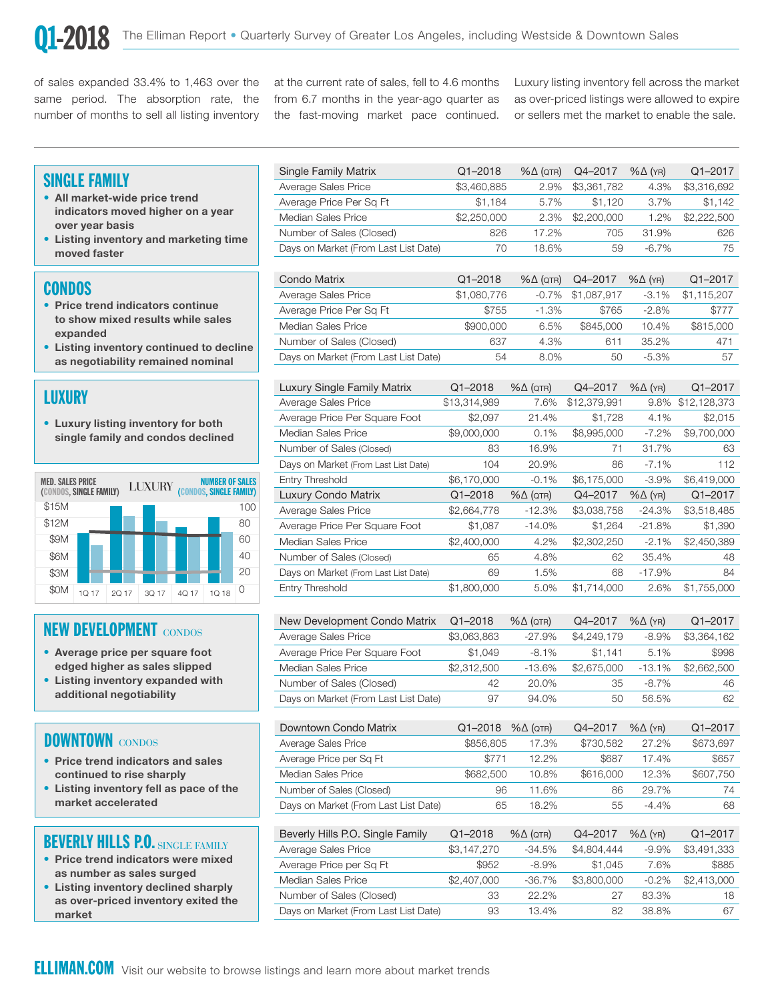400

of sales expanded 33.4% to 1,463 over the same period. The absorption rate, the number of months to sell all listing inventory at the current rate of sales, fell to 4.6 months from 6.7 months in the year-ago quarter as the fast-moving market pace continued. Luxury listing inventory fell across the market as over-priced listings were allowed to expire or sellers met the market to enable the sale.

#### SINGLE FAMILY

- All market-wide price trend  $\overline{A}$  Average Price Per S over year basis indicators moved higher on a year
	- Listing inventory and marketing time moved faster

#### CONDOS

- Price trend indicators continue to show mixed results while sales expanded
- Listing inventory continued to decline as negotiability remained nominal

## LUXURY

• Luxury listing inventory for both **Average Pric** single family and condos declined



#### NEW DEVELOPMENT CONDOS

- Average price per square foot edged higher as sales slipped
- Listing inventory expanded with additional negotiability

## DOWNTOWN CONDOS

- Price trend indicators and sales continued to rise sharply
- Listing inventory fell as pace of the market accelerated

## BEVERLY HILLS P.O. SINGLE FAMILY

- Price trend indicators were mixed as number as sales surged
- Listing inventory declined sharply as over-priced inventory exited the market

| <b>Single Family Matrix</b>          | $Q1 - 2018$ | $% \triangle (QTR)$ | Q4-2017     | $% \triangle (YR)$ | $Q1 - 2017$ |
|--------------------------------------|-------------|---------------------|-------------|--------------------|-------------|
| Average Sales Price                  | \$3,460,885 | 2.9%                | \$3,361,782 | 4.3%               | \$3,316,692 |
| Average Price Per Sq Ft              | \$1,184     | 5.7%                | \$1,120     | 3.7%               | \$1,142     |
| Median Sales Price                   | \$2,250,000 | 2.3%                | \$2,200,000 | 1.2%               | \$2,222,500 |
| Number of Sales (Closed)             | 826         | 17.2%               | 705         | 31.9%              | 626         |
| Days on Market (From Last List Date) | 70          | 18.6%               | 59          | $-6.7%$            | 75          |
|                                      |             |                     |             |                    |             |
| Condo Matrix                         | $Q1 - 2018$ | $% \triangle (QTR)$ | Q4-2017     | $% \triangle (YR)$ | $Q1 - 2017$ |
| Average Sales Price                  | \$1,080,776 | $-0.7%$             | \$1,087,917 | $-3.1%$            | \$1,115,207 |
| Average Price Per Sq Ft              | \$755       | $-1.3%$             | \$765       | $-2.8%$            | \$777       |
| Median Sales Price                   | \$900,000   | 6.5%                | \$845,000   | 10.4%              | \$815,000   |
| Number of Sales (Closed)             | 637         | 4.3%                | 611         | 35.2%              | 471         |
| Days on Market (From Last List Date) | 54          | 8.0%                | 50          | $-5.3\%$           | 57          |

| Luxury Single Family Matrix          | $Q1 - 2018$  | $% \triangle (QTR)$ | Q4-2017      | $% \triangle (YR)$ | Q1-2017      |
|--------------------------------------|--------------|---------------------|--------------|--------------------|--------------|
| Average Sales Price                  | \$13,314,989 | 7.6%                | \$12,379,991 | 9.8%               | \$12,128,373 |
| Average Price Per Square Foot        | \$2,097      | 21.4%               | \$1,728      | 4.1%               | \$2,015      |
| Median Sales Price                   | \$9,000,000  | 0.1%                | \$8,995,000  | $-7.2\%$           | \$9,700,000  |
| Number of Sales (Closed)             | 83           | 16.9%               | 71           | 31.7%              | 63           |
| Days on Market (From Last List Date) | 104          | 20.9%               | 86           | $-7.1%$            | 112          |
| Entry Threshold                      | \$6,170,000  | $-0.1%$             | \$6,175,000  | $-3.9\%$           | \$6,419,000  |
|                                      |              |                     |              |                    |              |
| Luxury Condo Matrix                  | $Q1 - 2018$  | $% \triangle (QTR)$ | Q4-2017      | $% \triangle (YR)$ | $Q1 - 2017$  |
| Average Sales Price                  | \$2,664,778  | $-12.3%$            | \$3,038,758  | $-24.3%$           | \$3,518,485  |
| Average Price Per Square Foot        | \$1,087      | $-14.0%$            | \$1,264      | $-21.8%$           | \$1,390      |
| Median Sales Price                   | \$2,400,000  | 4.2%                | \$2,302,250  | $-2.1%$            | \$2,450,389  |
| Number of Sales (Closed)             | 65           | 4.8%                | 62           | 35.4%              | 48           |
| Days on Market (From Last List Date) | 69           | 1.5%                | 68           | $-17.9%$           | 84           |

| New Development Condo Matrix         | $Q1 - 2018$ | $% \triangle (QTR)$ | Q4-2017     | $% \triangle (YR)$ | $Q1 - 2017$ |
|--------------------------------------|-------------|---------------------|-------------|--------------------|-------------|
| Average Sales Price                  | \$3,063,863 | $-27.9%$            | \$4,249,179 | $-8.9\%$           | \$3,364,162 |
| Average Price Per Square Foot        | \$1,049     | $-8.1\%$            | \$1.141     | 5.1%               | \$998       |
| Median Sales Price                   | \$2,312,500 | $-13.6%$            | \$2,675,000 | $-13.1\%$          | \$2,662,500 |
| Number of Sales (Closed)             | 42          | 20.0%               | 35          | $-8.7\%$           | 46          |
| Days on Market (From Last List Date) | 97          | 94.0%               | 50          | 56.5%              | 62          |

| Downtown Condo Matrix                | $Q1 - 2018$ | $% \triangle (QTR)$ | Q4-2017   | $% \triangle (YR)$ | $Q1 - 2017$ |
|--------------------------------------|-------------|---------------------|-----------|--------------------|-------------|
| Average Sales Price                  | \$856,805   | 17.3%               | \$730.582 | 27.2%              | \$673,697   |
| Average Price per Sq Ft              | \$771       | 12.2%               | \$687     | 17.4%              | \$657       |
| Median Sales Price                   | \$682,500   | 10.8%               | \$616,000 | 12.3%              | \$607,750   |
| Number of Sales (Closed)             | 96          | 11.6%               | 86        | 29.7%              | 74          |
| Days on Market (From Last List Date) | 65          | 18.2%               | 55        | $-4.4\%$           | 68          |

| Beverly Hills P.O. Single Family     | $Q1 - 2018$ | $% \triangle (QTR)$ | Q4-2017     | $% \triangle (YR)$ | $Q1 - 2017$ |
|--------------------------------------|-------------|---------------------|-------------|--------------------|-------------|
| Average Sales Price                  | \$3,147,270 | $-34.5%$            | \$4,804,444 | $-9.9%$            | \$3,491,333 |
| Average Price per Sq Ft              | \$952       | $-8.9%$             | \$1,045     | 7.6%               | \$885       |
| Median Sales Price                   | \$2,407,000 | $-36.7\%$           | \$3,800,000 | $-0.2\%$           | \$2,413,000 |
| Number of Sales (Closed)             | 33          | 22.2%               | 27          | 83.3%              | 18          |
| Days on Market (From Last List Date) | 93          | 13.4%               | 82          | 38.8%              | 67          |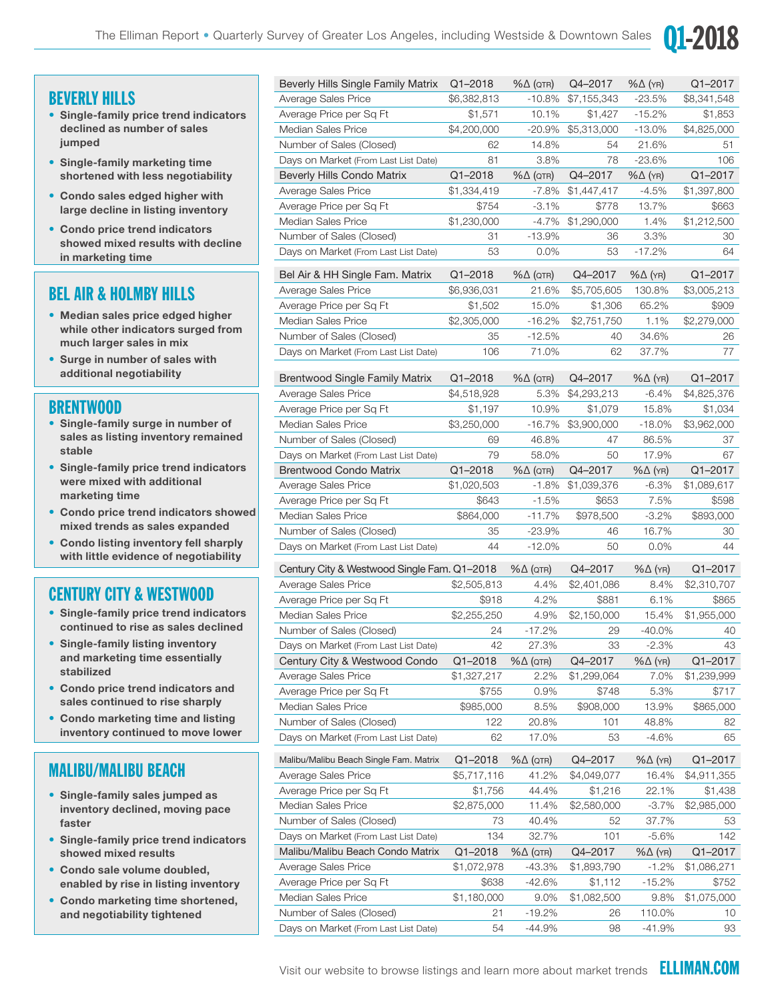

## BEVERLY HILLS

- Single-family price trend indicators declined as number of sales jumped
- Single-family marketing time shortened with less negotiability
- Condo sales edged higher with large decline in listing inventory
- Condo price trend indicators showed mixed results with decline in marketing time

## BEL AIR & HOLMBY HILLS

- Median sales price edged higher while other indicators surged from much larger sales in mix
- Surge in number of sales with additional negotiability

## BRENTWOOD

- Single-family surge in number of sales as listing inventory remained stable
- Single-family price trend indicators were mixed with additional marketing time
- Condo price trend indicators showed mixed trends as sales expanded
- Condo listing inventory fell sharply with little evidence of negotiability

## CENTURY CITY & WESTWOOD

- Single-family price trend indicators continued to rise as sales declined
- Single-family listing inventory and marketing time essentially stabilized
- Condo price trend indicators and sales continued to rise sharply
- Condo marketing time and listing inventory continued to move lower

## MALIBU/MALIBU BEACH

- Single-family sales jumped as inventory declined, moving pace faster
- Single-family price trend indicators showed mixed results
- Condo sale volume doubled, enabled by rise in listing inventory
- Condo marketing time shortened, and negotiability tightened

| Beverly Hills Single Family Matrix          | $Q1 - 2018$            | $\% \Delta$ (QTR)   | Q4-2017                | $% \triangle (YR)$ | Q1-2017                |
|---------------------------------------------|------------------------|---------------------|------------------------|--------------------|------------------------|
| Average Sales Price                         | \$6,382,813            | -10.8%              | \$7,155,343            | $-23.5%$           | \$8,341,548            |
| Average Price per Sq Ft                     | \$1,571                | 10.1%               | \$1,427                | $-15.2%$           | \$1,853                |
| Median Sales Price                          | \$4,200,000            | $-20.9\%$           | \$5,313,000            | $-13.0%$           | \$4,825,000            |
| Number of Sales (Closed)                    | 62                     | 14.8%               | 54                     | 21.6%              | 51                     |
| Days on Market (From Last List Date)        | 81                     | 3.8%                | 78                     | $-23.6%$           | 106                    |
| <b>Beverly Hills Condo Matrix</b>           | $Q1 - 2018$            | $% \triangle (QTR)$ | Q4-2017                | $% \triangle (YR)$ | Q1-2017                |
| Average Sales Price                         | \$1,334,419            | -7.8%               | \$1,447,417            | $-4.5%$            | \$1,397,800            |
| Average Price per Sq Ft                     | \$754                  | $-3.1%$             | \$778                  | 13.7%              | \$663                  |
| <b>Median Sales Price</b>                   | \$1,230,000            | $-4.7\%$            | \$1,290,000            | 1.4%               | \$1,212,500            |
| Number of Sales (Closed)                    | 31                     | $-13.9%$            | 36                     | 3.3%               | 30                     |
| Days on Market (From Last List Date)        | 53                     | $0.0\%$             | 53                     | $-17.2%$           | 64                     |
| Bel Air & HH Single Fam. Matrix             | Q1-2018                | $% \triangle (QTR)$ | Q4-2017                | $% \triangle (YR)$ | Q1-2017                |
| Average Sales Price                         | \$6,936,031            | 21.6%               | \$5,705,605            | 130.8%             | \$3,005,213            |
| Average Price per Sq Ft                     | \$1,502                | 15.0%               | \$1,306                | 65.2%              | \$909                  |
| <b>Median Sales Price</b>                   | \$2,305,000            | $-16.2%$            | \$2,751,750            | 1.1%               | \$2,279,000            |
| Number of Sales (Closed)                    | 35                     | $-12.5%$            | 40                     | 34.6%              | 26                     |
| Days on Market (From Last List Date)        | 106                    | 71.0%               | 62                     | 37.7%              | 77                     |
|                                             |                        |                     |                        |                    |                        |
| <b>Brentwood Single Family Matrix</b>       | $Q1 - 2018$            | $% \triangle (QTR)$ | Q4-2017                | $% \triangle (YR)$ | Q1-2017                |
| Average Sales Price                         | \$4,518,928            | 5.3%                | \$4,293,213            | $-6.4%$            | \$4,825,376            |
| Average Price per Sq Ft                     | \$1,197                | 10.9%               | \$1,079                | 15.8%              | \$1,034                |
| <b>Median Sales Price</b>                   | \$3,250,000            | $-16.7%$            | \$3,900,000            | $-18.0%$           | \$3,962,000            |
| Number of Sales (Closed)                    | 69                     | 46.8%               | 47                     | 86.5%              | 37                     |
| Days on Market (From Last List Date)        | 79                     | 58.0%               | 50                     | 17.9%              | 67                     |
| <b>Brentwood Condo Matrix</b>               | $Q1 - 2018$            | $% \triangle (QTR)$ | Q4-2017                | $% \triangle (YR)$ | Q1-2017                |
| Average Sales Price                         | \$1,020,503            | $-1.8%$             | \$1,039,376            | $-6.3%$            | \$1,089,617            |
| Average Price per Sq Ft                     | \$643                  | $-1.5%$             | \$653                  | 7.5%               | \$598                  |
| <b>Median Sales Price</b>                   | \$864,000              | $-11.7%$            | \$978,500              | $-3.2%$            | \$893,000              |
| Number of Sales (Closed)                    | 35                     | $-23.9%$            | 46                     | 16.7%              | 30                     |
| Days on Market (From Last List Date)        | 44                     | $-12.0%$            | 50                     | $0.0\%$            | 44                     |
| Century City & Westwood Single Fam. Q1-2018 |                        | $% \triangle (QTR)$ | Q4-2017                | $% \triangle (YR)$ | Q1-2017                |
| Average Sales Price                         | \$2,505,813            | 4.4%                | \$2,401,086            | 8.4%               | \$2,310,707            |
| Average Price per Sq Ft                     | \$918                  | 4.2%                | \$881                  | 6.1%               | \$865                  |
| Median Sales Price                          | \$2,255,250            | 4.9%                | \$2,150,000            | 15.4%              | \$1,955,000            |
| Number of Sales (Closed)                    | 24                     | $-17.2%$            | 29                     | $-40.0\%$          | 40                     |
| Days on Market (From Last List Date)        | 42                     | 27.3%               | 33                     | $-2.3%$            | 43                     |
| Century City & Westwood Condo               | $Q1 - 2018$            | $% \triangle (QTR)$ | Q4-2017                | $% \triangle (YR)$ | Q1-2017                |
| Average Sales Price                         | \$1,327,217            | 2.2%                | \$1,299,064            | 7.0%               | \$1,239,999            |
| Average Price per Sq Ft                     | \$755                  | 0.9%                | \$748                  | 5.3%               | \$717                  |
| Median Sales Price                          | \$985,000              | 8.5%                | \$908,000              | 13.9%              | \$865,000              |
| Number of Sales (Closed)                    | 122                    | 20.8%               | 101                    | 48.8%              | 82                     |
| Days on Market (From Last List Date)        | 62                     | 17.0%               | 53                     | -4.6%              | 65                     |
| Malibu/Malibu Beach Single Fam. Matrix      | Q1-2018                | $% \triangle (QTR)$ | Q4-2017                | $% \triangle (YR)$ | Q1-2017                |
| Average Sales Price                         | \$5,717,116            | 41.2%               | \$4,049,077            | 16.4%              | \$4,911,355            |
| Average Price per Sq Ft                     |                        | 44.4%               |                        |                    |                        |
| Median Sales Price                          | \$1,756<br>\$2,875,000 | 11.4%               | \$1,216<br>\$2,580,000 | 22.1%<br>$-3.7%$   | \$1,438<br>\$2,985,000 |
| Number of Sales (Closed)                    | 73                     | 40.4%               | 52                     | 37.7%              | 53                     |
| Days on Market (From Last List Date)        | 134                    | 32.7%               | 101                    | $-5.6%$            | 142                    |
| Malibu/Malibu Beach Condo Matrix            | Q1-2018                | $% \triangle (QTR)$ | Q4-2017                | $% \triangle (YR)$ | Q1-2017                |
| Average Sales Price                         | \$1,072,978            | -43.3%              | \$1,893,790            | $-1.2%$            | \$1,086,271            |
| Average Price per Sq Ft                     | \$638                  | $-42.6%$            | \$1,112                | $-15.2%$           | \$752                  |
| Median Sales Price                          | \$1,180,000            | 9.0%                | \$1,082,500            | 9.8%               | \$1,075,000            |
| Number of Sales (Closed)                    | 21                     | $-19.2%$            | 26                     | 110.0%             | 10                     |
| Davs on Market (From Last List Date)        | 54                     | $-44.9%$            | 98                     | $-41.9%$           | 93                     |